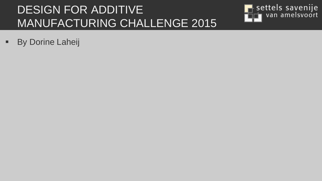#### DESIGN FOR ADDITIVE MANUFACTURING CHALLENGE 2015



**By Dorine Laheij**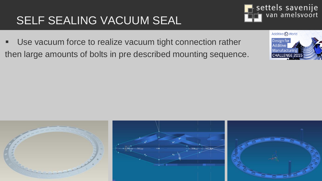#### SELF SEALING VACUUM SEAL

 Use vacuum force to realize vacuum tight connection rather then large amounts of bolts in pre described mounting sequence.





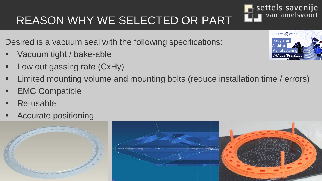# REASON WHY WE SELECTED OR PART

Desired is a vacuum seal with the following specifications:

- Vacuum tight / bake-able
- Low out gassing rate (CxHy)
- Limited mounting volume and mounting bolts (reduce installation time / errors)
- EMC Compatible
- Re-usable
- Accurate positioning







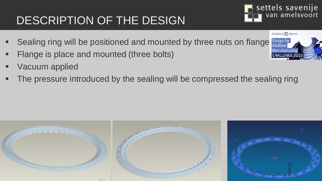### DESCRIPTION OF THE DESIGN

- Sealing ring will be positioned and mounted by three nuts on flange
- Flange is place and mounted (three bolts)
- Vacuum applied
- The pressure introduced by the sealing will be compressed the sealing ring





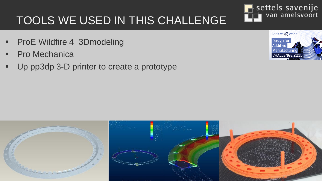#### TOOLS WE USED IN THIS CHALLENGE

- **ProE Wildfire 4 3Dmodeling**
- **Pro Mechanica**
- Up pp3dp 3-D printer to create a prototype





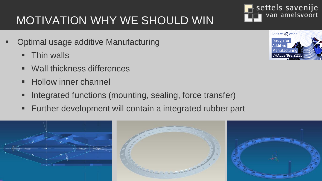### MOTIVATION WHY WE SHOULD WIN

- Optimal usage additive Manufacturing
	- **Thin walls**
	- Wall thickness differences
	- **Hollow inner channel**
	- Integrated functions (mounting, sealing, force transfer)
	- Further development will contain a integrated rubber part





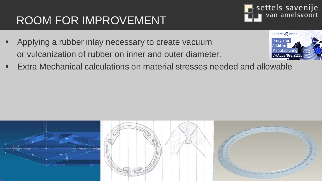### ROOM FOR IMPROVEMENT

- Applying a rubber inlay necessary to create vacuum or vulcanization of rubber on inner and outer diameter.
- Extra Mechanical calculations on material stresses needed and allowable